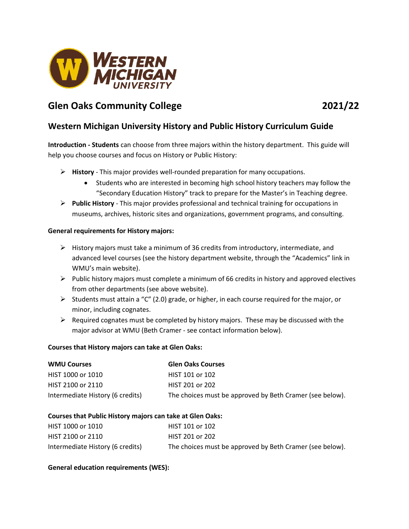

# **Glen Oaks Community College 2021/22**

## **Western Michigan University History and Public History Curriculum Guide**

**Introduction - Students** can choose from three majors within the history department. This guide will help you choose courses and focus on History or Public History:

- **History** This major provides well-rounded preparation for many occupations.
	- Students who are interested in becoming high school history teachers may follow the "Secondary Education History" track to prepare for the Master's in Teaching degree.
- **Public History** This major provides professional and technical training for occupations in museums, archives, historic sites and organizations, government programs, and consulting.

#### **General requirements for History majors:**

- $\triangleright$  History majors must take a minimum of 36 credits from introductory, intermediate, and advanced level courses (see the history department website, through the "Academics" link in WMU's main website).
- $\triangleright$  Public history majors must complete a minimum of 66 credits in history and approved electives from other departments (see above website).
- Students must attain a "C" (2.0) grade, or higher, in each course required for the major, or minor, including cognates.
- $\triangleright$  Required cognates must be completed by history majors. These may be discussed with the major advisor at WMU (Beth Cramer - see contact information below).

#### **Courses that History majors can take at Glen Oaks:**

| <b>WMU Courses</b>               | <b>Glen Oaks Courses</b>                                 |
|----------------------------------|----------------------------------------------------------|
| HIST 1000 or 1010                | HIST 101 or 102                                          |
| HIST 2100 or 2110                | HIST 201 or 202                                          |
| Intermediate History (6 credits) | The choices must be approved by Beth Cramer (see below). |

#### **Courses that Public History majors can take at Glen Oaks:**

| HIST 1000 or 1010                | HIST 101 or 102                                          |
|----------------------------------|----------------------------------------------------------|
| HIST 2100 or 2110                | HIST 201 or 202                                          |
| Intermediate History (6 credits) | The choices must be approved by Beth Cramer (see below). |

#### **General education requirements (WES):**